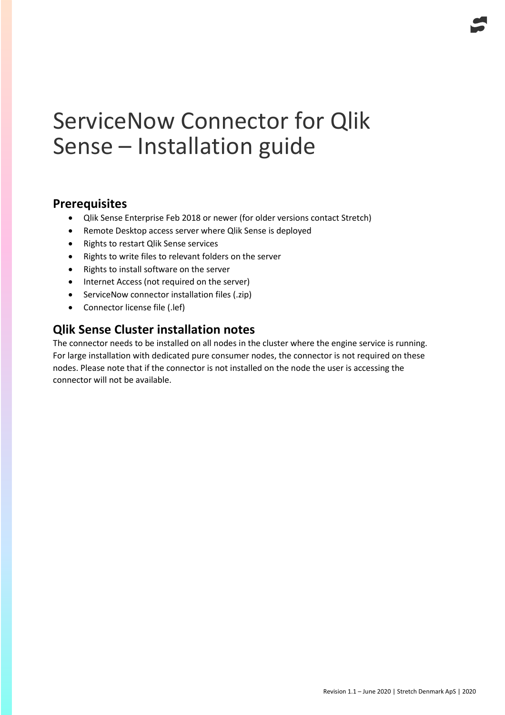# ServiceNow Connector for Qlik Sense – Installation guide

### **Prerequisites**

- Qlik Sense Enterprise Feb 2018 or newer (for older versions contact Stretch)
- Remote Desktop access server where Qlik Sense is deployed
- Rights to restart Qlik Sense services
- Rights to write files to relevant folders on the server
- Rights to install software on the server
- Internet Access (not required on the server)
- ServiceNow connector installation files (.zip)
- Connector license file (.lef)

#### **Qlik Sense Cluster installation notes**

The connector needs to be installed on all nodes in the cluster where the engine service is running. For large installation with dedicated pure consumer nodes, the connector is not required on these nodes. Please note that if the connector is not installed on the node the user is accessing the connector will not be available.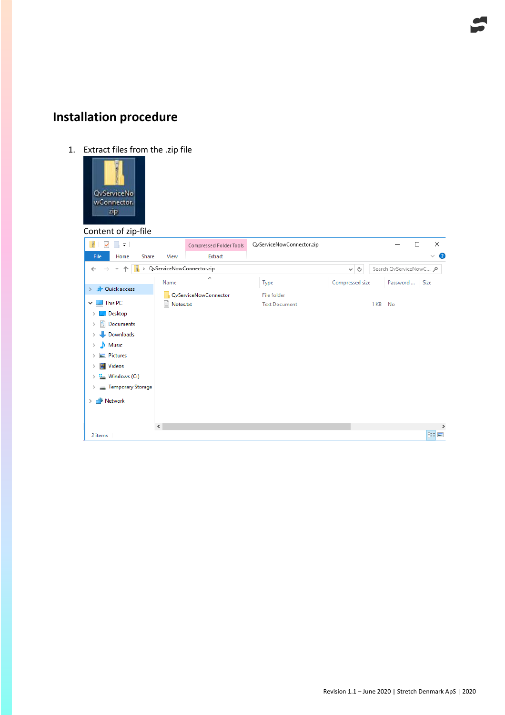## **Installation procedure**

1. Extract files from the .zip file



#### Content of zip-file

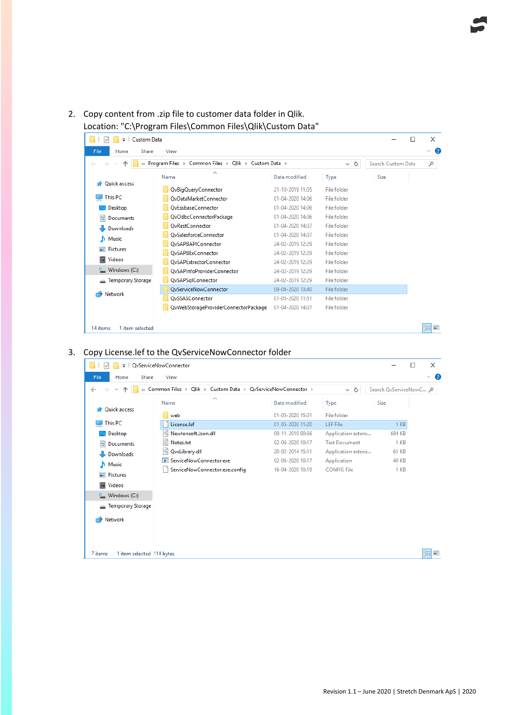2. Copy content from .zip file to customer data folder in Qlik. Location: "C:\Program Files\Common Files\Qlik\Custom Data"

| Custom Data<br>$\overline{\phantom{a}}$               |                                      |                  |             |                    | $\times$<br>П       |
|-------------------------------------------------------|--------------------------------------|------------------|-------------|--------------------|---------------------|
| File<br>Home<br>Share                                 | View                                 |                  |             |                    | B<br>$\checkmark$   |
| « Program Files > Common Files > Qlik > Custom Data > |                                      |                  |             | Search Custom Data | مر                  |
| <b>Duick access</b>                                   | ᄉ<br>Name                            | Date modified    | <b>Type</b> | Size               |                     |
|                                                       | QvBigQueryConnector                  | 21-10-2019 11:05 | File folder |                    |                     |
| $\blacksquare$ This PC                                | <b>OvDataMarketConnector</b>         | 01-04-2020 14:06 | File folder |                    |                     |
| Desktop                                               | OvEssbaseConnector                   | 01-04-2020 14:06 | File folder |                    |                     |
| 曽<br><b>Documents</b>                                 | QvOdbcConnectorPackage               | 01-04-2020 14:06 | File folder |                    |                     |
| Downloads                                             | <b>OvRestConnector</b>               | 01-04-2020 14:07 | File folder |                    |                     |
| Music<br>J)                                           | <b>OvSalesforceConnector</b>         | 01-04-2020 14:07 | File folder |                    |                     |
|                                                       | <b>OvSAPBAPIConnector</b>            | 24-02-2019 12:29 | File folder |                    |                     |
| <b>Pictures</b>                                       | <b>QvSAPBExConnector</b>             | 24-02-2019 12:29 | File folder |                    |                     |
| R<br>Videos                                           | <b>OvSAPExtractorConnector</b>       | 24-02-2019 12:29 | File folder |                    |                     |
| $\frac{12}{12}$ Windows (C:)                          | <b>OvSAPInfoProviderConnector</b>    | 24-02-2019 12:29 | File folder |                    |                     |
| <b>Temporary Storage</b><br>$=$                       | QvSAPSqlConnector                    | 24-02-2019 12:29 | File folder |                    |                     |
| Network                                               | <b>OvServiceNowConnector</b>         | 09-06-2020 13:40 | File folder |                    |                     |
|                                                       | OvSSASConnector                      | 01-05-2020 11:51 | File folder |                    |                     |
|                                                       | QvWebStorageProviderConnectorPackage | 01-04-2020 14:07 | File folder |                    |                     |
|                                                       |                                      |                  |             |                    |                     |
| 14 items<br>1 item selected                           |                                      |                  |             |                    | 胆<br>$\blacksquare$ |

#### 3. Copy License.lef to the QvServiceNowConnector folder

| $\overline{\phantom{a}}$             | QvServiceNowConnector                                         |                  |                      | □                      | ×                 |
|--------------------------------------|---------------------------------------------------------------|------------------|----------------------|------------------------|-------------------|
| File<br>Home<br>Share                | View                                                          |                  |                      |                        | Ø<br>$\checkmark$ |
|                                      | « Common Files > Qlik > Custom Data > QvServiceNowConnector > |                  | ৺ ত                  | Search QvServiceNowC Q |                   |
|                                      | $\wedge$<br>Name                                              | Date modified    | Type                 | Size                   |                   |
| <b>Duick access</b>                  | web                                                           | 01-05-2020 15:01 | File folder          |                        |                   |
| $\Box$ This PC                       | License.lef                                                   | 01-05-2020 11:20 | <b>LEF File</b>      | 1 <sub>KB</sub>        |                   |
| Desktop                              | Newtonsoft.Json.dll                                           | 09-11-2019 00:56 | Application extens   | 684 KB                 |                   |
| 兽<br>Documents                       | Notes.txt                                                     | 02-06-2020 10:17 | <b>Text Document</b> | 1 KB                   |                   |
| <b>Downloads</b>                     | QvxLibrary.dll<br>☜                                           | 20-02-2014 15:11 | Application extens   | <b>61 KB</b>           |                   |
| Music<br>J)                          | <b>BE ServiceNowConnector.exe</b>                             | 02-06-2020 10:17 | Application          | <b>40 KB</b>           |                   |
| $\blacksquare$ Pictures              | ServiceNowConnector.exe.config                                | 16-04-2020 10:19 | <b>CONFIG File</b>   | 1 KB                   |                   |
|                                      |                                                               |                  |                      |                        |                   |
| Videos<br>F.                         |                                                               |                  |                      |                        |                   |
| $\frac{12}{12}$ Windows (C:)         |                                                               |                  |                      |                        |                   |
| <b>Temporary Storage</b>             |                                                               |                  |                      |                        |                   |
| Network                              |                                                               |                  |                      |                        |                   |
|                                      |                                                               |                  |                      |                        |                   |
|                                      |                                                               |                  |                      |                        |                   |
| 1 item selected 114 bytes<br>7 items |                                                               |                  |                      |                        | 距回                |